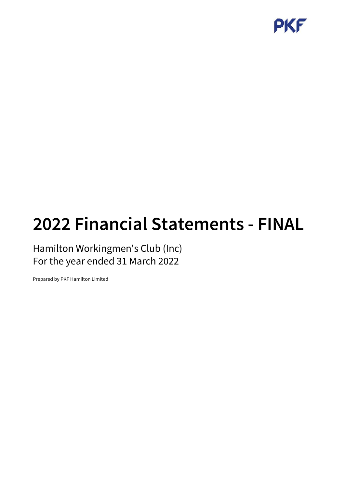

# **2022 Financial Statements - FINAL**

Hamilton Workingmen's Club (Inc) For the year ended 31 March 2022

Prepared by PKF Hamilton Limited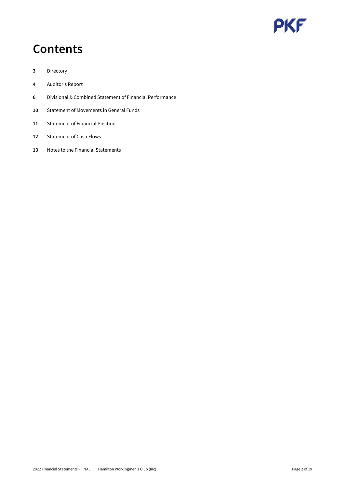

### **Contents**

- Directory
- Auditor's Report
- Divisional & Combined Statement of Financial Performance
- Statement of Movements in General Funds
- Statement of Financial Position
- Statement of Cash Flows
- Notes to the Financial Statements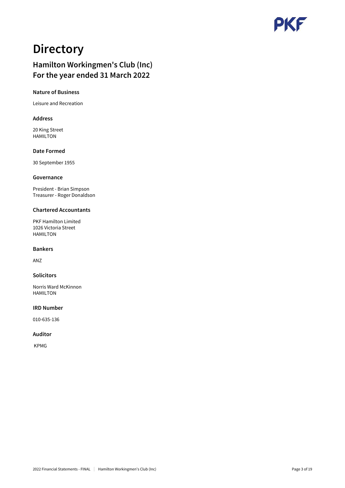

## **Directory**

### **Hamilton Workingmen's Club (Inc) For the year ended 31 March 2022**

#### **Nature of Business**

Leisure and Recreation

#### **Address**

20 King Street HAMILTON

#### **Date Formed**

30 September 1955

#### **Governance**

President - Brian Simpson Treasurer - Roger Donaldson

#### **Chartered Accountants**

PKF Hamilton Limited 1026 Victoria Street HAMILTON

#### **Bankers**

ANZ

#### **Solicitors**

Norris Ward McKinnon HAMILTON

#### **IRD Number**

010-635-136

#### **Auditor**

KPMG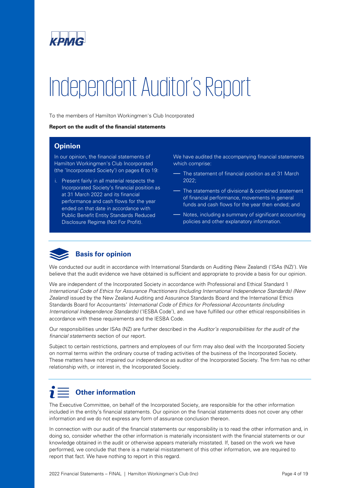

# Independent Auditor's Report

To the members of Hamilton Workingmen's Club Incorporated

#### **Report on the audit of the financial statements**

#### **Opinion**

In our opinion, the financial statements of Hamilton Workingmen's Club Incorporated (the 'Incorporated Society') on pages 6 to 19:

i. Present fairly in all material respects the Incorporated Society's financial position as at 31 March 2022 and its financial performance and cash flows for the year ended on that date in accordance with Public Benefit Entity Standards Reduced Disclosure Regime (Not For Profit).

We have audited the accompanying financial statements which comprise:

— The statement of financial position as at 31 March 2022;

— The statements of divisional & combined statement of financial performance, movements in general funds and cash flows for the year then ended; and

— Notes, including a summary of significant accounting policies and other explanatory information.



We conducted our audit in accordance with International Standards on Auditing (New Zealand) ('ISAs (NZ)'). We believe that the audit evidence we have obtained is sufficient and appropriate to provide a basis for our opinion.

We are independent of the Incorporated Society in accordance with Professional and Ethical Standard 1 *International Code of Ethics for Assurance Practitioners (Including International Independence Standards) (New Zealand)* issued by the New Zealand Auditing and Assurance Standards Board and the International Ethics Standards Board for Accountants' *International Code of Ethics for Professional Accountants (including International Independence Standards)* ('IESBA Code'), and we have fulfilled our other ethical responsibilities in accordance with these requirements and the IESBA Code.

Our responsibilities under ISAs (NZ) are further described in the *Auditor's responsibilities for the audit of the financial statements* section of our report.

Subject to certain restrictions, partners and employees of our firm may also deal with the Incorporated Society on normal terms within the ordinary course of trading activities of the business of the Incorporated Society. These matters have not impaired our independence as auditor of the Incorporated Society. The firm has no other relationship with, or interest in, the Incorporated Society.

### **Other information**

The Executive Committee, on behalf of the Incorporated Society, are responsible for the other information included in the entity's financial statements. Our opinion on the financial statements does not cover any other information and we do not express any form of assurance conclusion thereon.

In connection with our audit of the financial statements our responsibility is to read the other information and, in doing so, consider whether the other information is materially inconsistent with the financial statements or our knowledge obtained in the audit or otherwise appears materially misstated. If, based on the work we have performed, we conclude that there is a material misstatement of this other information, we are required to report that fact. We have nothing to report in this regard.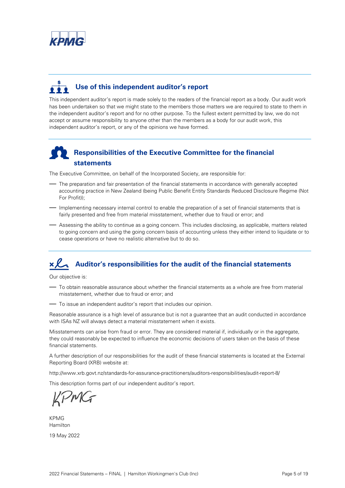

# **Use of this independent auditor's report**

This independent auditor's report is made solely to the readers of the financial report as a body. Our audit work has been undertaken so that we might state to the members those matters we are required to state to them in the independent auditor's report and for no other purpose. To the fullest extent permitted by law, we do not accept or assume responsibility to anyone other than the members as a body for our audit work, this independent auditor's report, or any of the opinions we have formed.

### **Responsibilities of the Executive Committee for the financial statements**

The Executive Committee, on behalf of the Incorporated Society, are responsible for:

- The preparation and fair presentation of the financial statements in accordance with generally accepted accounting practice in New Zealand (being Public Benefit Entity Standards Reduced Disclosure Regime (Not For Profit));
- Implementing necessary internal control to enable the preparation of a set of financial statements that is fairly presented and free from material misstatement, whether due to fraud or error; and
- Assessing the ability to continue as a going concern. This includes disclosing, as applicable, matters related to going concern and using the going concern basis of accounting unless they either intend to liquidate or to cease operations or have no realistic alternative but to do so.

### **Auditor's responsibilities for the audit of the financial statements**

Our objective is:

- To obtain reasonable assurance about whether the financial statements as a whole are free from material misstatement, whether due to fraud or error; and
- To issue an independent auditor's report that includes our opinion.

Reasonable assurance is a high level of assurance but is not a guarantee that an audit conducted in accordance with ISAs NZ will always detect a material misstatement when it exists.

Misstatements can arise from fraud or error. They are considered material if, individually or in the aggregate, they could reasonably be expected to influence the economic decisions of users taken on the basis of these financial statements.

A further description of our responsibilities for the audit of these financial statements is located at the External Reporting Board (XRB) website at:

http://www.xrb.govt.nz/standards-for-assurance-practitioners/auditors-responsibilities/audit-report-8/

This description forms part of our independent auditor's report.

MG

KPMG Hamilton 19 May 2022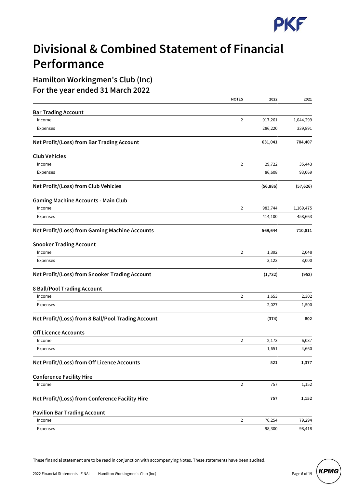

# **Divisional & Combined Statement of Financial Performance**

**Hamilton Workingmen's Club (Inc)**

**For the year ended 31 March 2022**

|                                                    | <b>NOTES</b>   | 2022      | 2021      |
|----------------------------------------------------|----------------|-----------|-----------|
| <b>Bar Trading Account</b>                         |                |           |           |
| Income                                             | $\overline{2}$ | 917,261   | 1,044,299 |
| Expenses                                           |                | 286,220   | 339,891   |
| Net Profit/(Loss) from Bar Trading Account         |                | 631,041   | 704,407   |
| <b>Club Vehicles</b>                               |                |           |           |
| Income                                             | 2              | 29,722    | 35,443    |
| Expenses                                           |                | 86,608    | 93,069    |
| Net Profit/(Loss) from Club Vehicles               |                | (56, 886) | (57, 626) |
| <b>Gaming Machine Accounts - Main Club</b>         |                |           |           |
| Income                                             | 2              | 983,744   | 1,169,475 |
| Expenses                                           |                | 414,100   | 458,663   |
| Net Profit/(Loss) from Gaming Machine Accounts     |                | 569,644   | 710,811   |
| <b>Snooker Trading Account</b>                     |                |           |           |
| Income                                             | $\overline{2}$ | 1,392     | 2,048     |
| Expenses                                           |                | 3,123     | 3,000     |
| Net Profit/(Loss) from Snooker Trading Account     |                | (1, 732)  | (952)     |
| 8 Ball/Pool Trading Account                        |                |           |           |
| Income                                             | 2              | 1,653     | 2,302     |
| Expenses                                           |                | 2,027     | 1,500     |
| Net Profit/(Loss) from 8 Ball/Pool Trading Account |                | (374)     | 802       |
| <b>Off Licence Accounts</b>                        |                |           |           |
| Income                                             | 2              | 2,173     | 6,037     |
| Expenses                                           |                | 1,651     | 4,660     |
| Net Profit/(Loss) from Off Licence Accounts        |                | 521       | 1,377     |
| <b>Conference Facility Hire</b>                    |                |           |           |
| Income                                             | $\overline{2}$ | 757       | 1,152     |
| Net Profit/(Loss) from Conference Facility Hire    |                | 757       | 1,152     |
| <b>Pavilion Bar Trading Account</b>                |                |           |           |
| Income                                             | $\overline{2}$ | 76,254    | 79,294    |
| Expenses                                           |                | 98,300    | 98,418    |

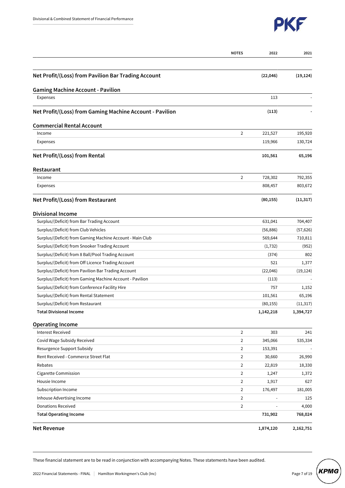

|                                                           | <b>NOTES</b>   | 2022      | 2021      |
|-----------------------------------------------------------|----------------|-----------|-----------|
|                                                           |                |           |           |
| Net Profit/(Loss) from Pavilion Bar Trading Account       |                | (22,046)  | (19, 124) |
| <b>Gaming Machine Account - Pavilion</b>                  |                |           |           |
| Expenses                                                  |                | 113       |           |
| Net Profit/(Loss) from Gaming Machine Account - Pavilion  |                | (113)     |           |
| <b>Commercial Rental Account</b>                          |                |           |           |
| Income                                                    | 2              | 221,527   | 195,920   |
| Expenses                                                  |                | 119,966   | 130,724   |
| Net Profit/(Loss) from Rental                             |                | 101,561   | 65,196    |
| Restaurant                                                |                |           |           |
| Income                                                    | $\overline{2}$ | 728,302   | 792,355   |
| Expenses                                                  |                | 808,457   | 803,672   |
| Net Profit/(Loss) from Restaurant                         |                | (80, 155) | (11, 317) |
| <b>Divisional Income</b>                                  |                |           |           |
| Surplus/(Deficit) from Bar Trading Account                |                | 631,041   | 704,407   |
| Surplus/(Deficit) from Club Vehicles                      |                | (56, 886) | (57, 626) |
| Surplus/(Deficit) from Gaming Machine Account - Main Club |                | 569,644   | 710,811   |
| Surplus/(Deficit) from Snooker Trading Account            |                | (1, 732)  | (952)     |
| Surplus/(Deficit) from 8 Ball/Pool Trading Account        |                | (374)     | 802       |
| Surplus/(Deficit) from Off Licence Trading Account        |                | 521       | 1,377     |
| Surplus/(Deficit) from Pavilion Bar Trading Account       |                | (22,046)  | (19, 124) |
| Surplus/(Deficit) from Gaming Machine Account - Pavilion  |                | (113)     |           |
| Surplus/(Deficit) from Conference Facility Hire           |                | 757       | 1,152     |
| Surplus/(Deficit) from Rental Statement                   |                | 101,561   | 65,196    |
| Surplus/(Deficit) from Restaurant                         |                | (80, 155) | (11, 317) |
| <b>Total Divisional Income</b>                            |                | 1,142,218 | 1,394,727 |
| <b>Operating Income</b>                                   |                |           |           |
| <b>Interest Received</b>                                  | $\overline{2}$ | 303       | 241       |
| Covid Wage Subsidy Received                               | $\overline{2}$ | 345,066   | 535,334   |
| Resurgence Support Subsidy                                | $\overline{2}$ | 153,391   |           |
| Rent Received - Commerce Street Flat                      | $\overline{2}$ | 30,660    | 26,990    |
| Rebates                                                   | $\overline{2}$ | 22,819    | 18,330    |
| Cigarette Commission                                      | $\overline{2}$ | 1,247     | 1,372     |
| Housie Income                                             | $\overline{2}$ | 1,917     | 627       |
| Subscription Income                                       | $\overline{2}$ | 176,497   | 181,005   |
| Inhouse Advertising Income                                | $\overline{2}$ |           | 125       |
| <b>Donations Received</b>                                 | $\overline{2}$ |           | 4,000     |
| <b>Total Operating Income</b>                             |                | 731,902   | 768,024   |
| <b>Net Revenue</b>                                        |                | 1,874,120 | 2,162,751 |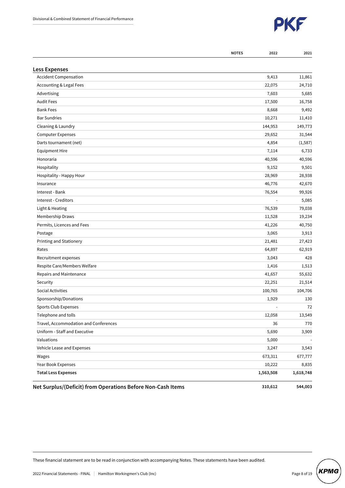

|                                                             | <b>NOTES</b> | 2022      | 2021      |
|-------------------------------------------------------------|--------------|-----------|-----------|
| <b>Less Expenses</b>                                        |              |           |           |
| <b>Accident Compensation</b>                                |              | 9,413     | 11,861    |
| Accounting & Legal Fees                                     |              | 22,075    | 24,710    |
| Advertising                                                 |              | 7,603     | 5,685     |
| <b>Audit Fees</b>                                           |              | 17,500    | 16,758    |
| <b>Bank Fees</b>                                            |              | 8,668     | 9,492     |
| <b>Bar Sundries</b>                                         |              | 10,271    | 11,410    |
| Cleaning & Laundry                                          |              | 144,953   | 149,773   |
| <b>Computer Expenses</b>                                    |              | 29,652    | 31,544    |
| Darts tournament (net)                                      |              | 4,854     | (1, 587)  |
| <b>Equipment Hire</b>                                       |              | 7,114     | 6,733     |
| Honoraria                                                   |              | 40,596    | 40,596    |
| Hospitality                                                 |              | 9,152     | 9,501     |
| Hospitality - Happy Hour                                    |              | 28,969    | 28,938    |
| Insurance                                                   |              | 46,776    | 42,670    |
| Interest - Bank                                             |              | 76,554    | 99,926    |
| Interest - Creditors                                        |              |           | 5,085     |
| Light & Heating                                             |              | 76,539    | 79,038    |
| Membership Draws                                            |              | 11,528    | 19,234    |
| Permits, Licences and Fees                                  |              | 41,226    | 40,750    |
| Postage                                                     |              | 3,065     | 3,913     |
| Printing and Stationery                                     |              | 21,481    | 27,423    |
| Rates                                                       |              | 64,897    | 62,919    |
| Recruitment expenses                                        |              | 3,043     | 428       |
| Respite Care/Members Welfare                                |              | 1,416     | 1,513     |
| Repairs and Maintenance                                     |              | 41,657    | 55,632    |
| Security                                                    |              | 22,251    | 21,514    |
| Social Activities                                           |              | 100,765   | 104,706   |
| Sponsorship/Donations                                       |              | 1,929     | 130       |
| <b>Sports Club Expenses</b>                                 |              | ÷,        | 72        |
| Telephone and tolls                                         |              | 12,058    | 13,549    |
| Travel, Accommodation and Conferences                       |              | 36        | 770       |
| Uniform - Staff and Executive                               |              | 5,690     | 3,909     |
| Valuations                                                  |              | 5,000     |           |
| Vehicle Lease and Expenses                                  |              | 3,247     | 3,543     |
| Wages                                                       |              | 673,311   | 677,777   |
| Year Book Expenses                                          |              | 10,222    | 8,835     |
| <b>Total Less Expenses</b>                                  |              | 1,563,508 | 1,618,748 |
| Net Surplus/(Deficit) from Operations Before Non-Cash Items |              | 310,612   | 544,003   |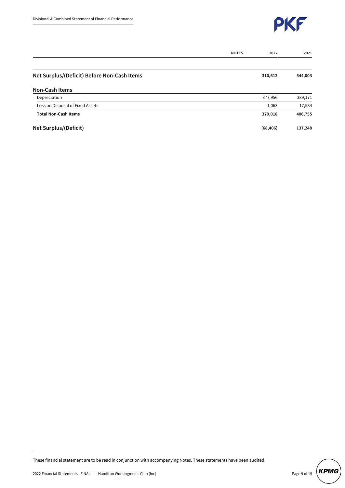

|                                             | <b>NOTES</b> | 2022      | 2021    |
|---------------------------------------------|--------------|-----------|---------|
|                                             |              |           |         |
| Net Surplus/(Deficit) Before Non-Cash Items |              | 310,612   | 544,003 |
| <b>Non-Cash Items</b>                       |              |           |         |
| Depreciation                                |              | 377,956   | 389,171 |
| Loss on Disposal of Fixed Assets            |              | 1,063     | 17,584  |
| <b>Total Non-Cash Items</b>                 |              | 379,018   | 406,755 |
| <b>Net Surplus/(Deficit)</b>                |              | (68, 406) | 137,248 |

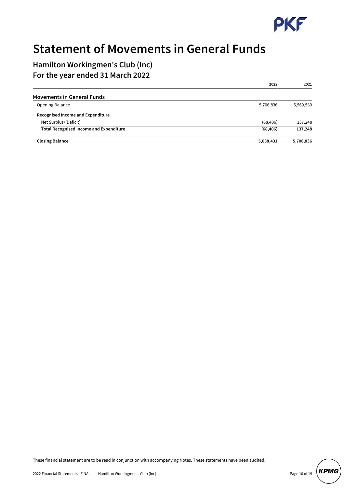

# **Statement of Movements in General Funds**

### **Hamilton Workingmen's Club (Inc) For the year ended 31 March 2022**

|                                                | 2022      | 2021      |
|------------------------------------------------|-----------|-----------|
| <b>Movements in General Funds</b>              |           |           |
| Opening Balance                                | 5,706,836 | 5,569,589 |
| Recognised Income and Expenditure              |           |           |
| Net Surplus/(Deficit)                          | (68, 406) | 137,248   |
| <b>Total Recognised Income and Expenditure</b> | (68, 406) | 137,248   |
| <b>Closing Balance</b>                         | 5,638,431 | 5,706,836 |

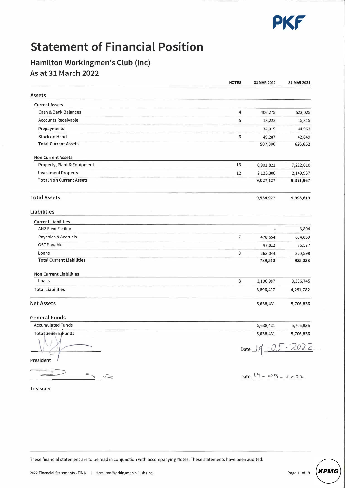

## **Statement of Financial Position**

### **Hamilton Workingmen's Club (Inc) As at 31 March 2022**

|                                  | <b>NOTES</b>   | 31 MAR 2022         | 31 MAR 2021 |
|----------------------------------|----------------|---------------------|-------------|
| Assets                           |                |                     |             |
| <b>Current Assets</b>            |                |                     |             |
| Cash & Bank Balances             | $\overline{4}$ | 406,275             | 523,025     |
| <b>Accounts Receivable</b>       | 5              | 18,222              | 15,815      |
| Prepayments                      |                | 34,015              | 44,963      |
| Stock on Hand                    | 6              | 49,287              | 42,849      |
| <b>Total Current Assets</b>      |                | 507,800             | 626,652     |
| <b>Non Current Assets</b>        |                |                     |             |
| Property, Plant & Equipment      | 13             | 6,901,821           | 7,222,010   |
| <b>Investment Property</b>       | 12             | 2,125,306           | 2,149,957   |
| <b>Total Non Current Assets</b>  |                | 9,027,127           | 9,371,967   |
| <b>Total Assets</b>              |                | 9,534,927           | 9,998,619   |
| Liabilities                      |                |                     |             |
| <b>Current Liabilities</b>       |                |                     |             |
| <b>ANZ Flexi Facility</b>        |                |                     | 3,804       |
| Payables & Accruals              | $\overline{7}$ | 478,654             | 634,059     |
| <b>GST Payable</b>               |                | 47,812              | 76,577      |
| Loans                            | 8              | 263,044             | 220,598     |
| <b>Total Current Liabilities</b> |                | 789,510             | 935,038     |
| <b>Non Current Liabilities</b>   |                |                     |             |
| Loans                            | 8              | 3,106,987           | 3,356,745   |
| <b>Total Liabilities</b>         |                | 3,896,497           | 4,291,782   |
| <b>Net Assets</b>                |                | 5,638,431           | 5,706,836   |
| <b>General Funds</b>             |                |                     |             |
| <b>Accumulated Funds</b>         |                | 5,638,431           | 5,706,836   |
| Total General/Funds              |                | 5,638,431           | 5,706,836   |
| President                        | Date           |                     |             |
|                                  |                | Date 19 - 05 - 2022 |             |

Treasurer

These financial statement are to be read in conjunction with accompanying Notes. These statements have been audited.

*KPMG*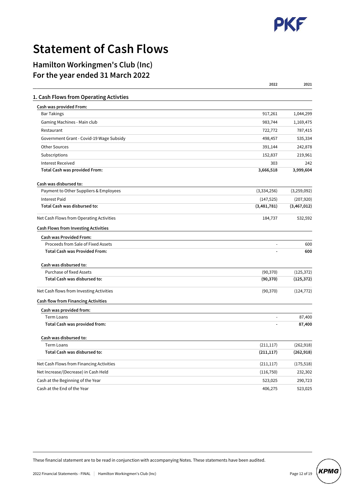

# **Statement of Cash Flows**

**Hamilton Workingmen's Club (Inc) For the year ended 31 March 2022**

|                                             | 2022        | 2021        |
|---------------------------------------------|-------------|-------------|
| 1. Cash Flows from Operating Activties      |             |             |
| Cash was provided From:                     |             |             |
| <b>Bar Takings</b>                          | 917,261     | 1,044,299   |
| Gaming Machines - Main club                 | 983,744     | 1,169,475   |
| Restaurant                                  | 722,772     | 787,415     |
| Government Grant - Covid-19 Wage Subsidy    | 498,457     | 535,334     |
| <b>Other Sources</b>                        | 391,144     | 242,878     |
| Subscriptions                               | 152,837     | 219,961     |
| <b>Interest Received</b>                    | 303         | 242         |
| <b>Total Cash was provided From:</b>        | 3,666,518   | 3,999,604   |
| Cash was disbursed to:                      |             |             |
| Payment to Other Suppliers & Employees      | (3,334,256) | (3,259,092) |
| <b>Interest Paid</b>                        | (147, 525)  | (207, 920)  |
| Total Cash was disbursed to:                | (3,481,781) | (3,467,012) |
| Net Cash Flows from Operating Activities    | 184,737     | 532,592     |
| <b>Cash Flows from Investing Activities</b> |             |             |
| <b>Cash was Provided From:</b>              |             |             |
| Proceeds from Sale of Fixed Assets          |             | 600         |
| <b>Total Cash was Provided From:</b>        |             | 600         |
| Cash was disbursed to:                      |             |             |
| Purchase of fixed Assets                    | (90, 370)   | (125, 372)  |
| Total Cash was disbursed to:                | (90, 370)   | (125, 372)  |
| Net Cash flows from Investing Activities    | (90, 370)   | (124, 772)  |
| <b>Cash flow from Financing Activities</b>  |             |             |
| Cash was provided from:                     |             |             |
| <b>Term Loans</b>                           |             | 87,400      |
| Total Cash was provided from:               |             | 87,400      |
| Cash was disbursed to:                      |             |             |
| Term Loans                                  | (211, 117)  | (262, 918)  |
| Total Cash was disbursed to:                | (211, 117)  | (262, 918)  |
| Net Cash Flows from Financing Activities    | (211, 117)  | (175, 518)  |
| Net Increase/(Decrease) in Cash Held        | (116, 750)  | 232,302     |
| Cash at the Beginning of the Year           | 523,025     | 290,723     |
| Cash at the End of the Year                 | 406,275     | 523,025     |

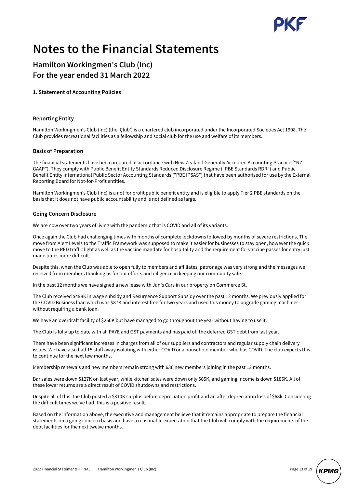# **Notes to the Financial Statements**

### **Hamilton Workingmen's Club (Inc) For the year ended 31 March 2022**

#### **1. Statement of Accounting Policies**

#### **Reporting Entity**

Hamilton Workingmen's Club (Inc) (the 'Çlub') is a chartered club incorporated under the Incorporated Societies Act 1908. The Club provides recreational facilities as a fellowship and social club for the use and welfare of its members.

#### **Basis of Preparation**

The financial statements have been prepared in accordance with New Zealand Generally Accepted Accounting Practice ("NZ GAAP"). They comply with Public Benefit Entity Standards Reduced Disclosure Regime ("PBE Standards RDR") and Public Benefit Entity International Public Sector Accounting Standards ("PBE IPSAS") that have been authorised for use by the External Reporting Board for Not-for-Profit entities.

Hamilton Workingmen's Club (Inc) is a not for profit public benefit entity and is eligible to apply Tier 2 PBE standards on the basis that it does not have public accountability and is not defined as large.

#### **Going Concern Disclosure**

We are now over two years of living with the pandemic that is COVID and all of its variants.

Once again the Club had challenging times with months of complete lockdowns followed by months of severe restrictions. The move from Alert Levels to the Traffic Framework was supposed to make it easier for businesses to stay open, however the quick move to the RED traffic light as well as the vaccine mandate for hospitality and the requirement for vaccine passes for entry just made times more difficult.

Despite this, when the Club was able to open fully to members and affiliates, patronage was very strong and the messages we received from members thanking us for our efforts and diligence in keeping our community safe.

In the past 12 months we have signed a new lease with Jan's Cars in our property on Commerce St.

The Club received \$498K in wage subsidy and Resurgence Support Subsidy over the past 12 months. We previously applied for the COVID Business loan which was \$87K and interest free for two years and used this money to upgrade gaming machines without requiring a bank loan.

We have an overdraft facility of \$250K but have managed to go throughout the year without having to use it.

The Club is fully up to date with all PAYE and GST payments and has paid off the deferred GST debt from last year.

There have been significant increases in charges from all of our suppliers and contractors and regular supply chain delivery issues. We have also had 15 staff away isolating with either COVID or a household member who has COVID. The club expects this to continue for the next few months.

Membership renewals and new members remain strong with 636 new members joining in the past 12 months.

Bar sales were down \$127K on last year, while kitchen sales were down only \$65K, and gaming income is down \$185K. All of these lower returns are a direct result of COVID shutdowns and restrictions.

Despite all of this, the Club posted a \$310K surplus before depreciation profit and an after depreciation loss of \$68k. Considering the difficult times we've had, this is a positive result.

Based on the information above, the executive and management believe that it remains appropriate to prepare the financial statements on a going concern basis and have a reasonable expectation that the Club will comply with the requirements of the debt facilities for the next twelve months.

**KPMC**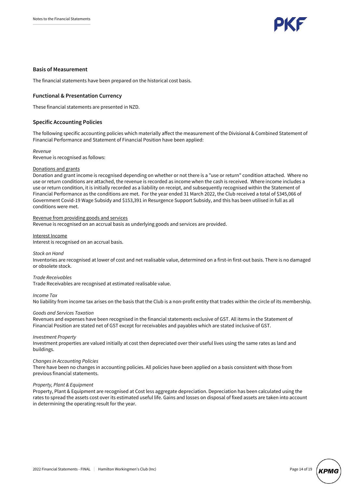

#### **Basis of Measurement**

The financial statements have been prepared on the historical cost basis.

#### **Functional & Presentation Currency**

These financial statements are presented in NZD.

#### **Specific Accounting Policies**

The following specific accounting policies which materially affect the measurement of the Divisional & Combined Statement of Financial Performance and Statement of Financial Position have been applied:

#### *Revenue*

Revenue is recognised as follows:

#### Donations and grants

Donation and grant income is recognised depending on whether or not there is a "use or return" condition attached. Where no use or return conditions are attached, the revenue is recorded as income when the cash is received. Where income includes a use or return condition, it is initially recorded as a liability on receipt, and subsequently recognised within the Statement of Financial Performance as the conditions are met. For the year ended 31 March 2022, the Club received a total of \$345,066 of Government Covid-19 Wage Subsidy and \$153,391 in Resurgence Support Subsidy, and this has been utilised in full as all conditions were met.

#### Revenue from providing goods and services

Revenue is recognised on an accrual basis as underlying goods and services are provided.

#### Interest Income

Interest is recognised on an accrual basis.

#### *Stock on Hand*

Inventories are recognised at lower of cost and net realisable value, determined on a first-in first-out basis. There is no damaged or obsolete stock.

#### *Trade Receivables*

Trade Receivables are recognised at estimated realisable value.

#### *Income Tax*

No liability from income tax arises on the basis that the Club is a non-profit entity that trades within the circle of its membership.

#### *Goods and Services Taxation*

Revenues and expenses have been recognised in the financial statements exclusive of GST. All items in the Statement of Financial Position are stated net of GST except for receivables and payables which are stated inclusive of GST.

*Investment Property* 

Investment properties are valued initially at cost then depreciated over their useful lives using the same rates as land and buildings.

#### *Changes in Accounting Policies*

There have been no changes in accounting policies. All policies have been applied on a basis consistent with those from previous financial statements.

#### *Property, Plant & Equipment*

Property, Plant & Equipment are recognised at Cost less aggregate depreciation. Depreciation has been calculated using the rates to spread the assets cost over its estimated useful life. Gains and losses on disposal of fixed assets are taken into account in determining the operating result for the year.

| KPMC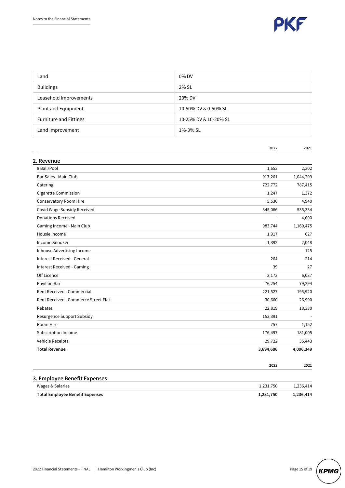

**2022 2021**

| Land                          | 0% DV                 |
|-------------------------------|-----------------------|
| <b>Buildings</b>              | 2% SL                 |
| Leasehold Improvements        | 20% DV                |
| Plant and Equipment           | 10-50% DV & 0-50% SL  |
| <b>Furniture and Fittings</b> | 10-25% DV & 10-20% SL |
| Land Improvement              | 1%-3% SL              |

| 8 Ball/Pool                          | 1,653          | 2,302     |
|--------------------------------------|----------------|-----------|
| Bar Sales - Main Club                | 917,261        | 1,044,299 |
| Catering                             | 722,772        | 787,415   |
| Cigarette Commission                 | 1,247          | 1,372     |
| Conservatory Room Hire               | 5,530          | 4,940     |
| Covid Wage Subsidy Received          | 345,066        | 535,334   |
| <b>Donations Received</b>            | $\blacksquare$ | 4,000     |
| Gaming Income - Main Club            | 983,744        | 1,169,475 |
| Housie Income                        | 1,917          | 627       |
| <b>Income Snooker</b>                | 1,392          | 2,048     |
| Inhouse Advertising Income           | ÷,             | 125       |
| Interest Received - General          | 264            | 214       |
| Interest Received - Gaming           | 39             | 27        |
| Off Licence                          | 2,173          | 6,037     |
| <b>Pavilion Bar</b>                  | 76,254         | 79,294    |
| Rent Received - Commercial           | 221,527        | 195,920   |
| Rent Received - Commerce Street Flat | 30,660         | 26,990    |
| Rebates                              | 22,819         | 18,330    |
| Resurgence Support Subsidy           | 153,391        |           |
| Room Hire                            | 757            | 1,152     |
| Subscription Income                  | 176,497        | 181,005   |
| Vehicle Receipts                     | 29,722         | 35,443    |
| <b>Total Revenue</b>                 | 3,694,686      | 4,096,349 |
|                                      | 2022           | 2021      |

| 3. Employee Benefit Expenses    |           |           |
|---------------------------------|-----------|-----------|
| Wages & Salaries                | 1.231.750 | 1.236.414 |
| Total Employee Benefit Expenses | 1,231,750 | 1,236,414 |

2022 Financial Statements - FINAL | Hamilton Workingmen's Club (Inc)  $\overline{P}$  Page 15 of 19  $\overline{NPMG}$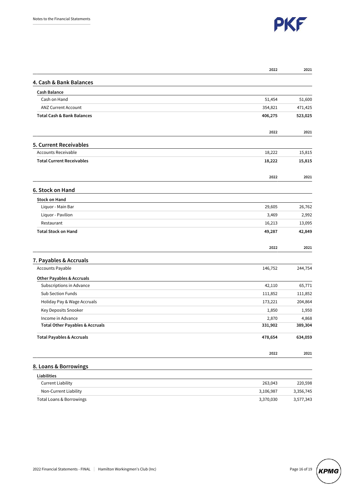

|                                            | 2022      | 2021      |
|--------------------------------------------|-----------|-----------|
| 4. Cash & Bank Balances                    |           |           |
| <b>Cash Balance</b>                        |           |           |
| Cash on Hand                               | 51,454    | 51,600    |
| <b>ANZ Current Account</b>                 | 354,821   | 471,425   |
| <b>Total Cash &amp; Bank Balances</b>      | 406,275   | 523,025   |
|                                            | 2022      | 2021      |
| 5. Current Receivables                     |           |           |
| <b>Accounts Receivable</b>                 | 18,222    | 15,815    |
| <b>Total Current Receivables</b>           | 18,222    | 15,815    |
|                                            | 2022      | 2021      |
| 6. Stock on Hand                           |           |           |
| <b>Stock on Hand</b>                       |           |           |
| Liquor - Main Bar                          | 29,605    | 26,762    |
| Liquor - Pavilion                          | 3,469     | 2,992     |
| Restaurant                                 | 16,213    | 13,095    |
| <b>Total Stock on Hand</b>                 | 49,287    | 42,849    |
|                                            | 2022      | 2021      |
| 7. Payables & Accruals                     |           |           |
| Accounts Payable                           | 146,752   | 244,754   |
| <b>Other Payables &amp; Accruals</b>       |           |           |
| Subscriptions in Advance                   | 42,110    | 65,771    |
| Sub Section Funds                          | 111,852   | 111,852   |
| Holiday Pay & Wage Accruals                | 173,221   | 204,864   |
| Key Deposits Snooker                       | 1,850     | 1,950     |
| Income in Advance                          | 2,870     | 4,868     |
| <b>Total Other Payables &amp; Accruals</b> | 331,902   | 389,304   |
| <b>Total Payables &amp; Accruals</b>       | 478,654   | 634,059   |
|                                            | 2022      | 2021      |
| 8. Loans & Borrowings                      |           |           |
| Liabilities                                |           |           |
| <b>Current Liability</b>                   | 263,043   | 220,598   |
| Non-Current Liability                      | 3,106,987 | 3,356,745 |
| <b>Total Loans &amp; Borrowings</b>        | 3,370,030 | 3,577,343 |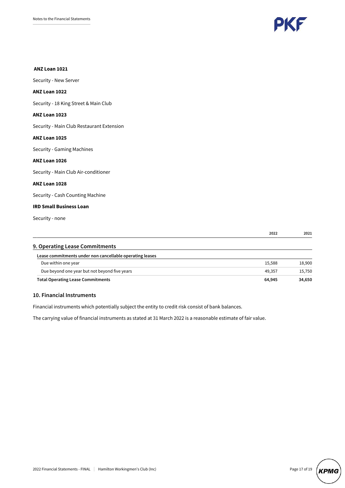

#### ANZ Loan 1021

Security - New Server

#### ANZ Loan 1022

Security - 18 King Street & Main Club

#### ANZ Loan 1023

Security - Main Club Restaurant Extension

#### ANZ Loan 1025

Security - Gaming Machines

#### ANZ Loan 1026

Security - Main Club Air-conditioner

#### ANZ Loan 1028

Security - Cash Counting Machine

#### IRD Small Business Loan

Security - none

|                                                          | 2022   | 2021   |
|----------------------------------------------------------|--------|--------|
| 9. Operating Lease Commitments                           |        |        |
| Lease commitments under non cancellable operating leases |        |        |
| Due within one year                                      | 15.588 | 18,900 |
| Due beyond one year but not beyond five years            | 49.357 | 15,750 |
| <b>Total Operating Lease Commitments</b>                 | 64,945 | 34,650 |

#### **10. Financial Instruments**

Financial instruments which potentially subject the entity to credit risk consist of bank balances.

The carrying value of financial instruments as stated at 31 March 2022 is a reasonable estimate of fair value.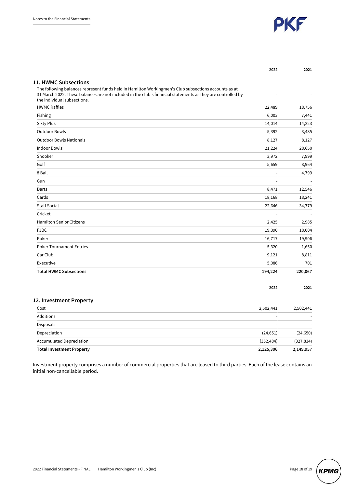

|                                                                                                                                                                                                                                                    | 2022    | 2021    |
|----------------------------------------------------------------------------------------------------------------------------------------------------------------------------------------------------------------------------------------------------|---------|---------|
| 11. HWMC Subsections                                                                                                                                                                                                                               |         |         |
| The following balances represent funds held in Hamilton Workingmen's Club subsections accounts as at<br>31 March 2022. These balances are not included in the club's financial statements as they are controlled by<br>the individual subsections. |         |         |
| <b>HWMC Raffles</b>                                                                                                                                                                                                                                | 22,489  | 18,756  |
| Fishing                                                                                                                                                                                                                                            | 6,003   | 7,441   |
| <b>Sixty Plus</b>                                                                                                                                                                                                                                  | 14,014  | 14,223  |
| <b>Outdoor Bowls</b>                                                                                                                                                                                                                               | 5,392   | 3,485   |
| <b>Outdoor Bowls Nationals</b>                                                                                                                                                                                                                     | 8,127   | 8,127   |
| <b>Indoor Bowls</b>                                                                                                                                                                                                                                | 21,224  | 28,650  |
| Snooker                                                                                                                                                                                                                                            | 3,972   | 7,999   |
| Golf                                                                                                                                                                                                                                               | 5,659   | 8,964   |
| 8 Ball                                                                                                                                                                                                                                             |         | 4,799   |
| Gun                                                                                                                                                                                                                                                |         |         |
| Darts                                                                                                                                                                                                                                              | 8,471   | 12,546  |
| Cards                                                                                                                                                                                                                                              | 18,168  | 18,241  |
| <b>Staff Social</b>                                                                                                                                                                                                                                | 22,646  | 34,779  |
| Cricket                                                                                                                                                                                                                                            | ÷,      |         |
| <b>Hamilton Senior Citizens</b>                                                                                                                                                                                                                    | 2,425   | 2,985   |
| <b>FJBC</b>                                                                                                                                                                                                                                        | 19,390  | 18,004  |
| Poker                                                                                                                                                                                                                                              | 16,717  | 19,906  |
| <b>Poker Tournament Entries</b>                                                                                                                                                                                                                    | 5,320   | 1,650   |
| Car Club                                                                                                                                                                                                                                           | 9,121   | 8,811   |
| Executive                                                                                                                                                                                                                                          | 5,086   | 701     |
| <b>Total HWMC Subsections</b>                                                                                                                                                                                                                      | 194,224 | 220,067 |
|                                                                                                                                                                                                                                                    |         |         |

**2022 2021**

#### **12. Investment Property**

| Cost                             | 2,502,441                | 2,502,441  |
|----------------------------------|--------------------------|------------|
| Additions                        | $\overline{\phantom{0}}$ | -          |
| Disposals                        | <b>-</b>                 |            |
| Depreciation                     | (24, 651)                | (24, 650)  |
| <b>Accumulated Depreciation</b>  | (352, 484)               | (327, 834) |
| <b>Total Investment Property</b> | 2,125,306                | 2,149,957  |

Investment property comprises a number of commercial properties that are leased to third parties. Each of the lease contains an initial non-cancellable period.